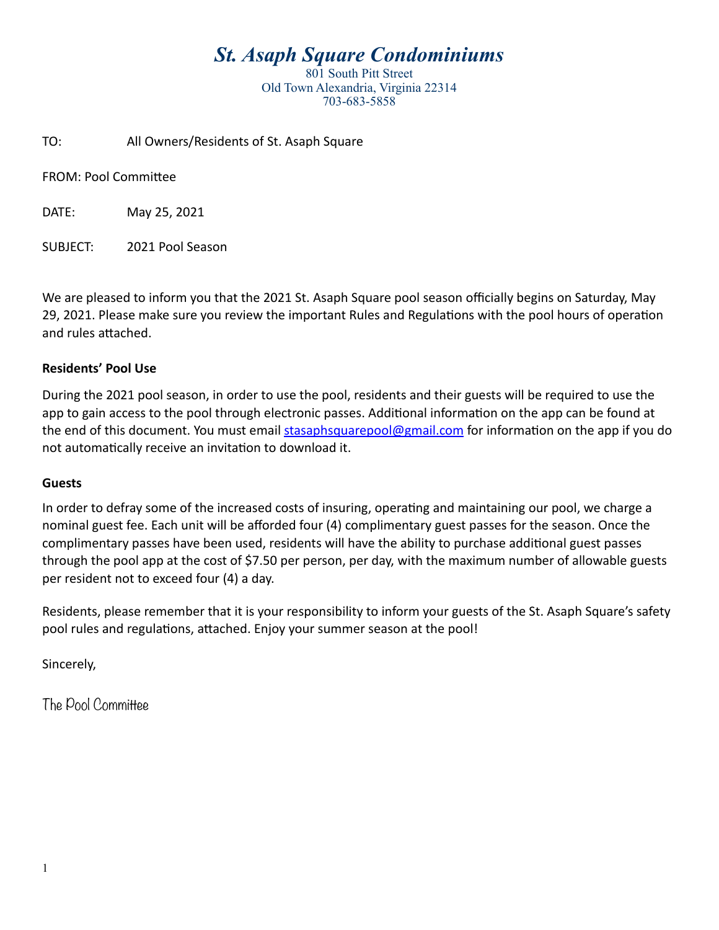# *St. Asaph Square Condominiums*

801 South Pitt Street Old Town Alexandria, Virginia 22314 703-683-5858

TO: All Owners/Residents of St. Asaph Square

FROM: Pool Committee

DATE: May 25, 2021

SUBJECT: 2021 Pool Season

We are pleased to inform you that the 2021 St. Asaph Square pool season officially begins on Saturday, May 29, 2021. Please make sure you review the important Rules and Regulations with the pool hours of operation and rules attached.

#### **Residents' Pool Use**

During the 2021 pool season, in order to use the pool, residents and their guests will be required to use the app to gain access to the pool through electronic passes. Additional information on the app can be found at the end of this document. You must email [stasaphsquarepool@gmail.com](mailto:stasaphsquarepool@gmail.com) for information on the app if you do not automatically receive an invitation to download it.

#### **Guests**

In order to defray some of the increased costs of insuring, operating and maintaining our pool, we charge a nominal guest fee. Each unit will be afforded four (4) complimentary guest passes for the season. Once the complimentary passes have been used, residents will have the ability to purchase additional guest passes through the pool app at the cost of \$7.50 per person, per day, with the maximum number of allowable guests per resident not to exceed four (4) a day.

Residents, please remember that it is your responsibility to inform your guests of the St. Asaph Square's safety pool rules and regulations, attached. Enjoy your summer season at the pool!

Sincerely,

The Pool Committee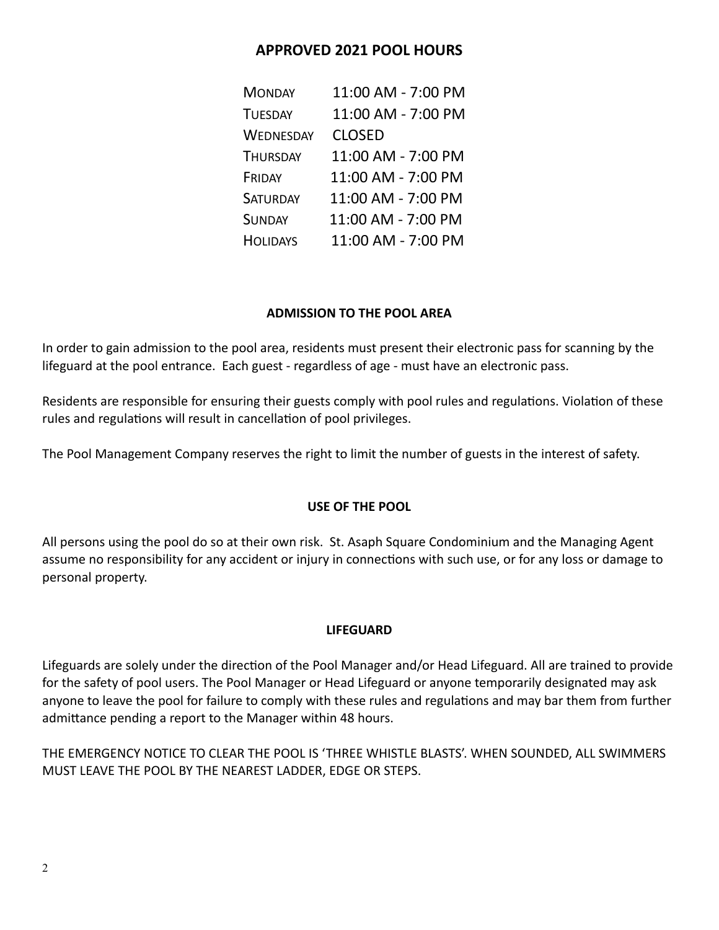# **APPROVED 2021 POOL HOURS**

| <b>MONDAY</b>    | 11:00 AM - 7:00 PM |
|------------------|--------------------|
| <b>TUESDAY</b>   | 11:00 AM - 7:00 PM |
| <b>WEDNESDAY</b> | <b>CLOSED</b>      |
| <b>THURSDAY</b>  | 11:00 AM - 7:00 PM |
| FRIDAY           | 11:00 AM - 7:00 PM |
| <b>SATURDAY</b>  | 11:00 AM - 7:00 PM |
| <b>SUNDAY</b>    | 11:00 AM - 7:00 PM |
| <b>HOLIDAYS</b>  | 11:00 AM - 7:00 PM |

# **ADMISSION TO THE POOL AREA**

In order to gain admission to the pool area, residents must present their electronic pass for scanning by the lifeguard at the pool entrance. Each guest - regardless of age - must have an electronic pass.

Residents are responsible for ensuring their guests comply with pool rules and regulations. Violation of these rules and regulations will result in cancellation of pool privileges.

The Pool Management Company reserves the right to limit the number of guests in the interest of safety.

# **USE OF THE POOL**

All persons using the pool do so at their own risk. St. Asaph Square Condominium and the Managing Agent assume no responsibility for any accident or injury in connections with such use, or for any loss or damage to personal property.

## **LIFEGUARD**

Lifeguards are solely under the direction of the Pool Manager and/or Head Lifeguard. All are trained to provide for the safety of pool users. The Pool Manager or Head Lifeguard or anyone temporarily designated may ask anyone to leave the pool for failure to comply with these rules and regulations and may bar them from further admittance pending a report to the Manager within 48 hours.

THE EMERGENCY NOTICE TO CLEAR THE POOL IS 'THREE WHISTLE BLASTS'. WHEN SOUNDED, ALL SWIMMERS MUST LEAVE THE POOL BY THE NEAREST LADDER, EDGE OR STEPS.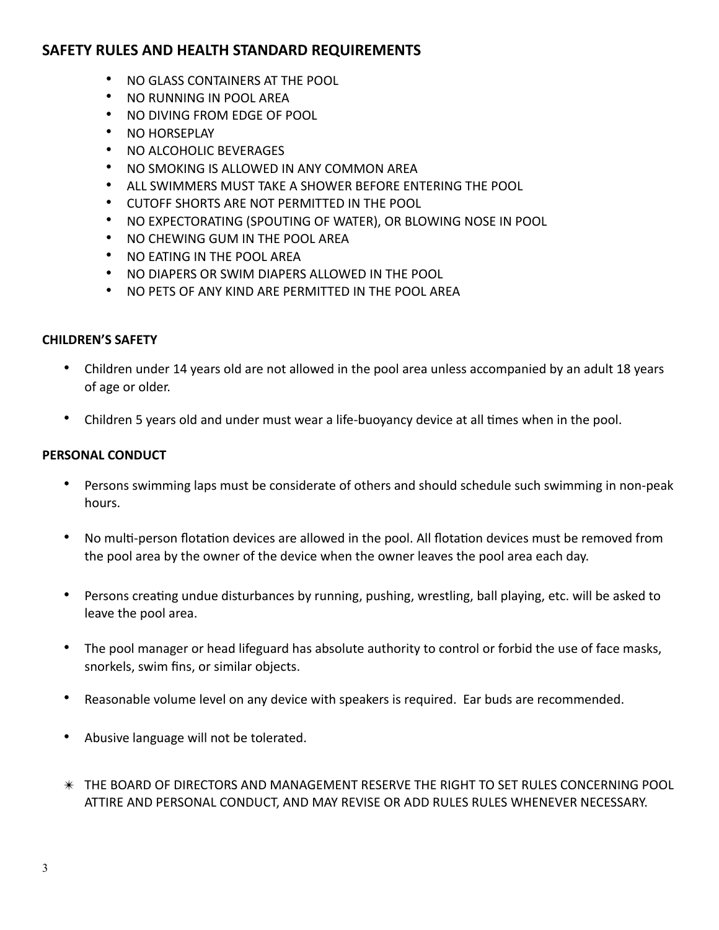# **SAFETY RULES AND HEALTH STANDARD REQUIREMENTS**

- NO GLASS CONTAINERS AT THE POOL
- NO RUNNING IN POOL AREA
- NO DIVING FROM EDGE OF POOL
- NO HORSEPLAY
- NO ALCOHOLIC BEVERAGES
- NO SMOKING IS ALLOWED IN ANY COMMON AREA
- ALL SWIMMERS MUST TAKE A SHOWER BEFORE ENTERING THE POOL
- CUTOFF SHORTS ARE NOT PERMITTED IN THE POOL
- NO EXPECTORATING (SPOUTING OF WATER), OR BLOWING NOSE IN POOL
- NO CHEWING GUM IN THE POOL AREA
- NO EATING IN THE POOL AREA
- NO DIAPERS OR SWIM DIAPERS ALLOWED IN THE POOL
- NO PETS OF ANY KIND ARE PERMITTED IN THE POOL AREA

### **CHILDREN'S SAFETY**

- Children under 14 years old are not allowed in the pool area unless accompanied by an adult 18 years of age or older.
- Children 5 years old and under must wear a life-buoyancy device at all times when in the pool.

### **PERSONAL CONDUCT**

- Persons swimming laps must be considerate of others and should schedule such swimming in non-peak hours.
- No multi-person flotation devices are allowed in the pool. All flotation devices must be removed from the pool area by the owner of the device when the owner leaves the pool area each day.
- Persons creating undue disturbances by running, pushing, wrestling, ball playing, etc. will be asked to leave the pool area.
- The pool manager or head lifeguard has absolute authority to control or forbid the use of face masks, snorkels, swim fins, or similar objects.
- Reasonable volume level on any device with speakers is required. Ear buds are recommended.
- Abusive language will not be tolerated.
- ✴ THE BOARD OF DIRECTORS AND MANAGEMENT RESERVE THE RIGHT TO SET RULES CONCERNING POOL ATTIRE AND PERSONAL CONDUCT, AND MAY REVISE OR ADD RULES RULES WHENEVER NECESSARY.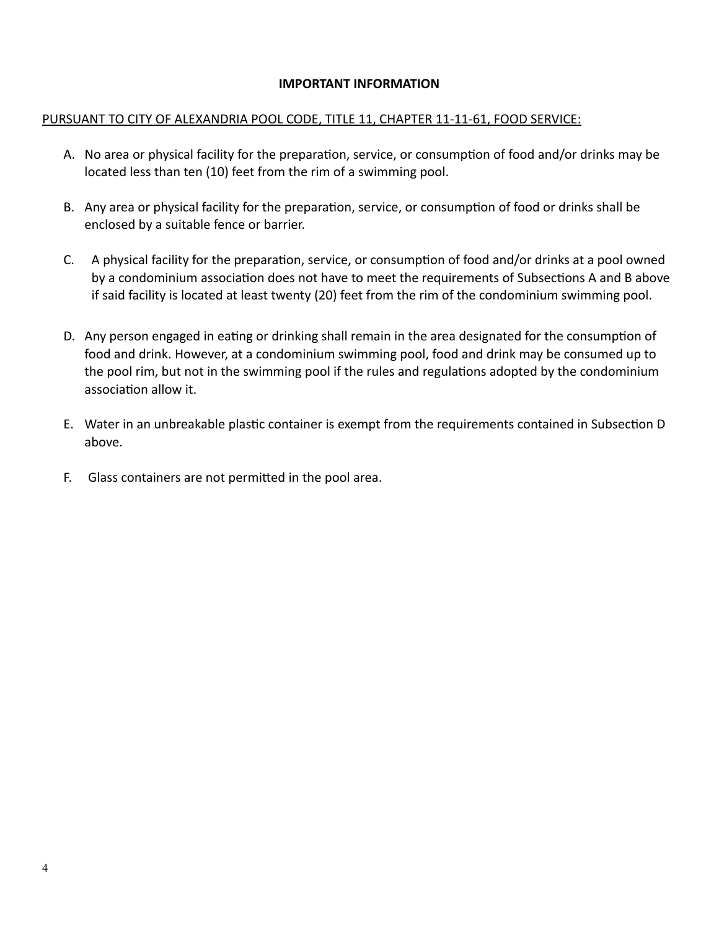### **IMPORTANT INFORMATION**

#### PURSUANT TO CITY OF ALEXANDRIA POOL CODE, TITLE 11, CHAPTER 11-11-61, FOOD SERVICE:

- A. No area or physical facility for the preparation, service, or consumption of food and/or drinks may be located less than ten (10) feet from the rim of a swimming pool.
- B. Any area or physical facility for the preparation, service, or consumption of food or drinks shall be enclosed by a suitable fence or barrier.
- C. A physical facility for the preparation, service, or consumption of food and/or drinks at a pool owned by a condominium association does not have to meet the requirements of Subsections A and B above if said facility is located at least twenty (20) feet from the rim of the condominium swimming pool.
- D. Any person engaged in eating or drinking shall remain in the area designated for the consumption of food and drink. However, at a condominium swimming pool, food and drink may be consumed up to the pool rim, but not in the swimming pool if the rules and regulations adopted by the condominium association allow it.
- E. Water in an unbreakable plastic container is exempt from the requirements contained in Subsection D above.
- F. Glass containers are not permitted in the pool area.